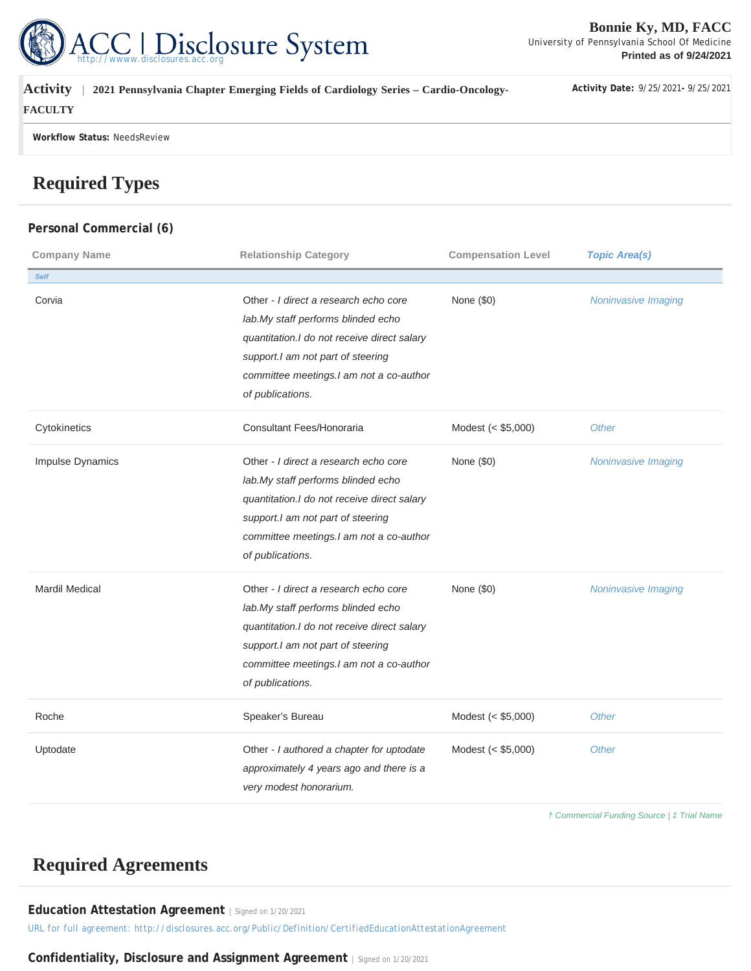

| <b>Activity</b><br>2021 Pennsylvania Chapter Emerging Fields of Cardiology Series - Cardio-Oncology- | Activity Date: 9/25/2021-9/25/2021 |
|------------------------------------------------------------------------------------------------------|------------------------------------|
| <b>FACULTY</b>                                                                                       |                                    |
| Workflow Status: NeedsReview                                                                         |                                    |

# **Required Types**

### **Personal Commercial (6)**

| <b>Company Name</b>   | <b>Relationship Category</b>                                                                                                                                                                                                    | <b>Compensation Level</b> | <b>Topic Area(s)</b> |
|-----------------------|---------------------------------------------------------------------------------------------------------------------------------------------------------------------------------------------------------------------------------|---------------------------|----------------------|
| <b>Self</b>           |                                                                                                                                                                                                                                 |                           |                      |
| Corvia                | Other - I direct a research echo core<br>lab.My staff performs blinded echo<br>quantitation. I do not receive direct salary<br>support.I am not part of steering<br>committee meetings.I am not a co-author<br>of publications. | None (\$0)                | Noninvasive Imaging  |
| Cytokinetics          | Consultant Fees/Honoraria                                                                                                                                                                                                       | Modest (< \$5,000)        | Other                |
| Impulse Dynamics      | Other - I direct a research echo core<br>lab.My staff performs blinded echo<br>quantitation.I do not receive direct salary<br>support.I am not part of steering<br>committee meetings.I am not a co-author<br>of publications.  | None (\$0)                | Noninvasive Imaging  |
| <b>Mardil Medical</b> | Other - I direct a research echo core<br>lab.My staff performs blinded echo<br>quantitation.I do not receive direct salary<br>support.I am not part of steering<br>committee meetings.I am not a co-author<br>of publications.  | None (\$0)                | Noninvasive Imaging  |
| Roche                 | Speaker's Bureau                                                                                                                                                                                                                | Modest (< \$5,000)        | Other                |
| Uptodate              | Other - I authored a chapter for uptodate<br>approximately 4 years ago and there is a<br>very modest honorarium.                                                                                                                | Modest (< \$5,000)        | Other                |

† Commercial Funding Source | ‡ Trial Name

## **Required Agreements**

**Education Attestation Agreement** | Signed on 1/20/2021

*URL for full agreement: http://disclosures.acc.org/Public/Definition/CertifiedEducationAttestationAgreement*

**Confidentiality, Disclosure and Assignment Agreement** | Signed on 1/20/2021